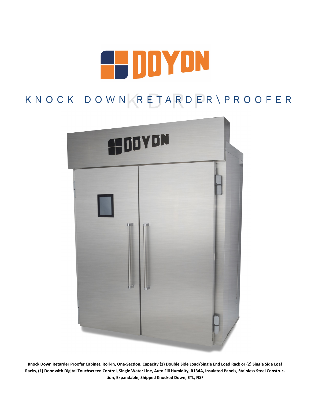

# KNOCK DOWN RETARDER\PROOFER



**Knock Down Retarder Proofer Cabinet, Roll-In, One-Section, Capacity (1) Double Side Load/Single End Load Rack or (2) Single Side Loaf Racks, (1) Door with Digital Touchscreen Control, Single Water Line, Auto Fill Humidity, R134A, Insulated Panels, Stainless Steel Construction, Expandable, Shipped Knocked Down, ETL, NSF**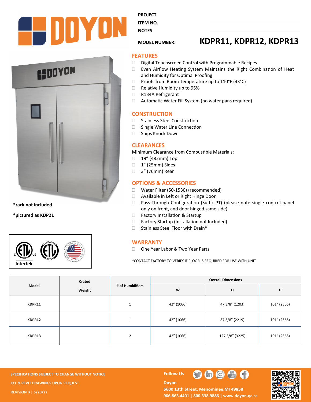



**\*rack not included**

**\*pictured as KDP21**



**PROJECT** 

**ITEM NO. NOTES** 

## **MODEL NUMBER: KDPR11, KDPR12, KDPR13**

#### **FEATURES**

- $\square$  Digital Touchscreen Control with Programmable Recipes
- Even Airflow Heating System Maintains the Right Combination of Heat and Humidity for Optimal Proofing
- $\Box$  Proofs from Room Temperature up to 110°F (43°C)
- □ Relative Humidity up to 95%
- R134A Refrigerant
- Automatic Water Fill System (no water pans required)

#### **CONSTRUCTION**

- □ Stainless Steel Construction
- □ Single Water Line Connection
- □ Ships Knock Down

#### **CLEARANCES**

Minimum Clearance from Combustible Materials:

- □ 19" (482mm) Top
- □ 1" (25mm) Sides
- □ 3" (76mm) Rear

### **OPTIONS & ACCESSORIES**

- □ Water Filter (50-1530) (recommended)
- □ Available in Left or Right Hinge Door
- □ Pass-Through Configuration (Suffix PT) (please note single control panel only on front, and door hinged same side)
- □ Factory Installation & Startup
- □ Factory Startup (Installation not Included)
- □ Stainless Steel Floor with Drain\*

#### **WARRANTY**

□ One Year Labor & Two Year Parts

\*CONTACT FACTORY TO VERIFY IF FLOOR IS REQUIRED FOR USE WITH UNIT

| Model  | Crated<br>Weight | # of Humidifiers    | <b>Overall Dimensions</b> |                 |             |  |
|--------|------------------|---------------------|---------------------------|-----------------|-------------|--|
|        |                  |                     | W                         | D               | н           |  |
| KDPR11 |                  | $\overline{ }$<br>ᅩ | 42" (1066)                | 47 3/8" (1203)  | 101" (2565) |  |
| KDPR12 |                  | $\overline{ }$      | 42" (1066)                | 87 3/8" (2219)  | 101" (2565) |  |
| KDPR13 |                  | $\overline{2}$      | 42" (1066)                | 127 3/8" (3225) | 101" (2565) |  |

**SPECIFICATIONS SUBJECT TO CHANGE WITHOUT NOTICE FOLLOW US KCL & REVIT DRAWINGS UPON REQUEST REVISION B | 5/20/22**

**Doyon** 



5600 13th Street, Menominee, MI 49858 **906.863.4401 | 800.338.9886 | [www.doyon.qc.ca](http://www.doyon.qc.ca/)**

 $\mathbf{G}$   $\mathbf{G}$   $\mathbf{G}$